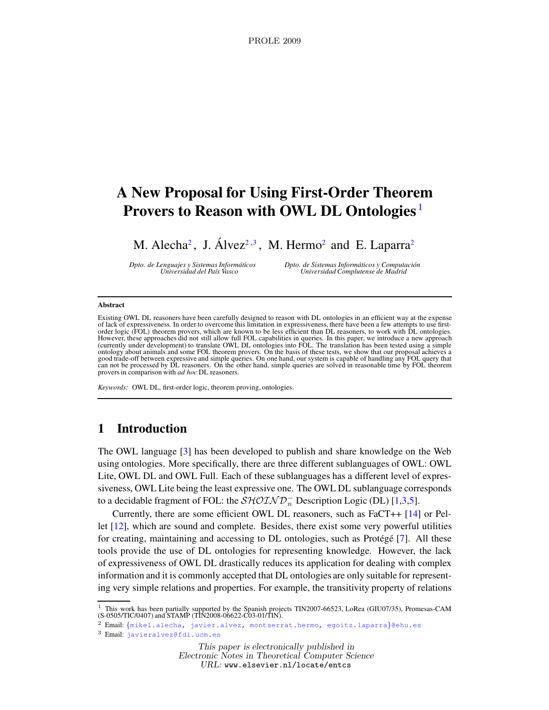# A New Proposal for Using First-Order Theorem Provers to Reason with OWL DL Ontologies<sup>[1](#page-2-0)</sup>

M. Alecha<sup>[2](#page-2-0)</sup>, J. Álvez<sup>2,[3](#page-2-0)</sup>, M. Hermo<sup>2</sup> and E. Laparra<sup>2</sup>

Dpto. de Lenguajes y Sistemas Inform ´aticos Dpto. de Sistemas Inform ´aticos y Computaci ´on Universidad Complutense de Madrid

#### Abstract

Existing OWL DL reasoners have been carefully designed to reason with DL ontologies in an efficient way at the expense<br>of lack of expressiveness. In order to overcome this limitation in expressiveness, there have been a fe order logic (FOL) theorem provers, which are known to be less efficient than DL reasoners, to work with DL ontologies. However, these approaches did not still allow full FOL capabilities in queries. In this paper, we introduce a new approach<br>(currently under development) to translate OWL DL ontologies into FOL. The translation has been tes ontology about animals and some FOL theorem provers. On the basis of these tests, we show that our proposal achieves a good trade-off between expressive and simple queries. On one hand, our system is capable of handling any FOL query that can not be processed by DL reasoners. On the other hand, simple queries are solved in reasonable time by FOL theorem provers in comparison with ad hoc DL reasoners.

Keywords: OWL DL, first-order logic, theorem proving, ontologies.

### 1 Introduction

The OWL language [\[3\]](#page-9-0) has been developed to publish and share knowledge on the Web using ontologies. More specifically, there are three different sublanguages of OWL: OWL Lite, OWL DL and OWL Full. Each of these sublanguages has a different level of expressiveness, OWL Lite being the least expressive one. The OWL DL sublanguage corresponds to a decidable fragment of FOL: the  $\mathcal{SHOLND}_n^-$  Description Logic (DL) [\[1](#page-9-1)[,3](#page-9-0)[,5\]](#page-9-2).

Currently, there are some efficient OWL DL reasoners, such as FaCT++ [\[14\]](#page-9-3) or Pellet [\[12\]](#page-9-4), which are sound and complete. Besides, there exist some very powerful utilities for creating, maintaining and accessing to  $DL$  ontologies, such as Protégé [\[7\]](#page-9-5). All these tools provide the use of DL ontologies for representing knowledge. However, the lack of expressiveness of OWL DL drastically reduces its application for dealing with complex information and it is commonly accepted that DL ontologies are only suitable for representing very simple relations and properties. For example, the transitivity property of relations

<sup>1</sup> This work has been partially supported by the Spanish projects TIN2007-66523, LoRea (GIU07/35), Promesas-CAM<br>(S-0505/TIC/0407) and STAMP (TIN2008-06622-C03-01/TIN).

<sup>3</sup> Email: [javieralvez@fdi.ucm.es](mailto:javieralvez@fdi.ucm.es)

Electronic Notes in Theoretical Computer Science

URL: www.elsevier.nl/locate/entcs

<sup>2</sup> Email: {[mikel.alecha, javier.alvez, montserrat.hermo, egoitz.laparra](mailto:javier.alvez@ehu.es)}@ehu.es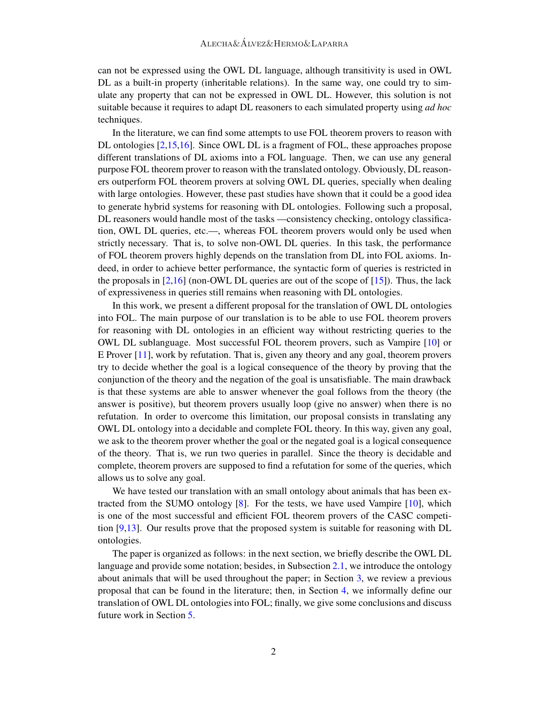can not be expressed using the OWL DL language, although transitivity is used in OWL DL as a built-in property (inheritable relations). In the same way, one could try to simulate any property that can not be expressed in OWL DL. However, this solution is not suitable because it requires to adapt DL reasoners to each simulated property using *ad hoc* techniques.

In the literature, we can find some attempts to use FOL theorem provers to reason with DL ontologies [\[2,](#page-9-6)[15,](#page-9-7)[16\]](#page-9-8). Since OWL DL is a fragment of FOL, these approaches propose different translations of DL axioms into a FOL language. Then, we can use any general purpose FOL theorem prover to reason with the translated ontology. Obviously, DL reasoners outperform FOL theorem provers at solving OWL DL queries, specially when dealing with large ontologies. However, these past studies have shown that it could be a good idea to generate hybrid systems for reasoning with DL ontologies. Following such a proposal, DL reasoners would handle most of the tasks —consistency checking, ontology classification, OWL DL queries, etc.—, whereas FOL theorem provers would only be used when strictly necessary. That is, to solve non-OWL DL queries. In this task, the performance of FOL theorem provers highly depends on the translation from DL into FOL axioms. Indeed, in order to achieve better performance, the syntactic form of queries is restricted in the proposals in  $[2,16]$  $[2,16]$  (non-OWL DL queries are out of the scope of  $[15]$ ). Thus, the lack of expressiveness in queries still remains when reasoning with DL ontologies.

In this work, we present a different proposal for the translation of OWL DL ontologies into FOL. The main purpose of our translation is to be able to use FOL theorem provers for reasoning with DL ontologies in an efficient way without restricting queries to the OWL DL sublanguage. Most successful FOL theorem provers, such as Vampire [\[10\]](#page-9-9) or E Prover [\[11\]](#page-9-10), work by refutation. That is, given any theory and any goal, theorem provers try to decide whether the goal is a logical consequence of the theory by proving that the conjunction of the theory and the negation of the goal is unsatisfiable. The main drawback is that these systems are able to answer whenever the goal follows from the theory (the answer is positive), but theorem provers usually loop (give no answer) when there is no refutation. In order to overcome this limitation, our proposal consists in translating any OWL DL ontology into a decidable and complete FOL theory. In this way, given any goal, we ask to the theorem prover whether the goal or the negated goal is a logical consequence of the theory. That is, we run two queries in parallel. Since the theory is decidable and complete, theorem provers are supposed to find a refutation for some of the queries, which allows us to solve any goal.

We have tested our translation with an small ontology about animals that has been extracted from the SUMO ontology [\[8\]](#page-9-11). For the tests, we have used Vampire [\[10\]](#page-9-9), which is one of the most successful and efficient FOL theorem provers of the CASC competition [\[9](#page-9-12)[,13\]](#page-9-13). Our results prove that the proposed system is suitable for reasoning with DL ontologies.

The paper is organized as follows: in the next section, we briefly describe the OWL DL language and provide some notation; besides, in Subsection [2.1,](#page-2-1) we introduce the ontology about animals that will be used throughout the paper; in Section [3,](#page-3-0) we review a previous proposal that can be found in the literature; then, in Section [4,](#page-5-0) we informally define our translation of OWL DL ontologies into FOL; finally, we give some conclusions and discuss future work in Section [5.](#page-7-0)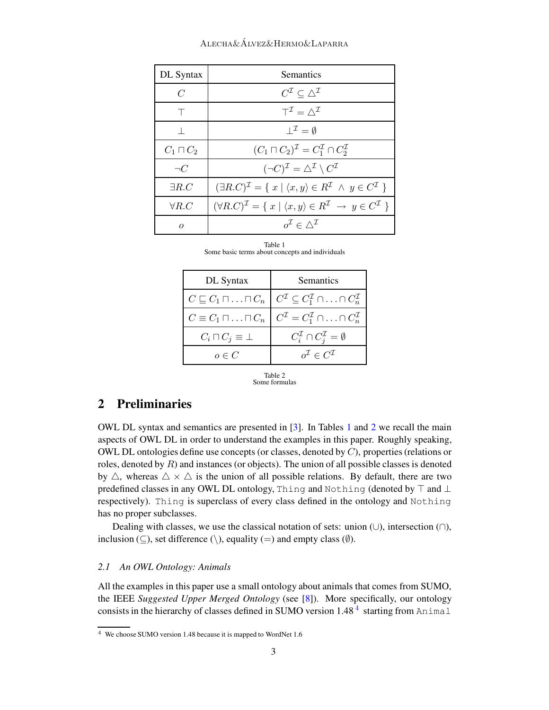#### Alecha&Alvez&Hermo&Laparra ´

| DL Syntax        | <b>Semantics</b>                                                                                                        |
|------------------|-------------------------------------------------------------------------------------------------------------------------|
| $\overline{C}$   | $C^{\mathcal{I}} \subset \triangle^{\mathcal{I}}$                                                                       |
|                  | $T^{\mathcal{I}} = \wedge^{\mathcal{I}}$                                                                                |
|                  | $I^{\mathcal{I}} = \emptyset$                                                                                           |
| $C_1 \sqcap C_2$ | $(C_1 \sqcap C_2)^{\mathcal{I}} = C_1^{\mathcal{I}} \cap C_2^{\mathcal{I}}$                                             |
| $\neg C$         | $(\neg C)^{\mathcal{I}} = \triangle^{\mathcal{I}} \setminus C^{\mathcal{I}}$                                            |
| $\exists R.C$    | $(\exists R.C)^{\mathcal{I}} = \{ x \mid \langle x, y \rangle \in R^{\mathcal{I}} \land y \in C^{\mathcal{I}} \}$       |
| $\forall R.C$    | $(\forall R.C)^{\mathcal{I}} = \{ x \mid \langle x, y \rangle \in R^{\mathcal{I}} \rightarrow y \in C^{\mathcal{I}} \}$ |
| $\Omega$         | $o^{\mathcal{I}} \in \wedge^{\mathcal{I}}$                                                                              |

|  | Table 1 |                                                 |  |  |
|--|---------|-------------------------------------------------|--|--|
|  |         | Some basic terms about concepts and individuals |  |  |

<span id="page-2-2"></span>

| DL Syntax                                    | <b>Semantics</b>                                                                 |  |  |
|----------------------------------------------|----------------------------------------------------------------------------------|--|--|
| $C \sqsubseteq C_1 \sqcap \ldots \sqcap C_n$ | $C^{\mathcal{I}} \subseteq C_1^{\mathcal{I}} \cap \ldots \cap C_n^{\mathcal{I}}$ |  |  |
| $C \equiv C_1 \sqcap \ldots \sqcap C_n$      | $C^{\mathcal{I}} = C_1^{\mathcal{I}} \cap \ldots \cap C_n^{\mathcal{I}}$         |  |  |
| $C_i \sqcap C_j \equiv \bot$                 | $C_i^{\mathcal{I}} \cap C_i^{\mathcal{I}} = \emptyset$                           |  |  |
| $o \in C$                                    | $o^{\mathcal{I}} \in C^{\mathcal{I}}$                                            |  |  |

<span id="page-2-3"></span>

## 2 Preliminaries

OWL DL syntax and semantics are presented in [\[3\]](#page-9-0). In Tables [1](#page-2-2) and [2](#page-2-3) we recall the main aspects of OWL DL in order to understand the examples in this paper. Roughly speaking, OWL DL ontologies define use concepts (or classes, denoted by  $C$ ), properties (relations or roles, denoted by  $R$ ) and instances (or objects). The union of all possible classes is denoted by  $\triangle$ , whereas  $\triangle \times \triangle$  is the union of all possible relations. By default, there are two predefined classes in any OWL DL ontology, Thing and Nothing (denoted by  $\top$  and  $\bot$ respectively). Thing is superclass of every class defined in the ontology and Nothing has no proper subclasses.

Dealing with classes, we use the classical notation of sets: union  $(\cup)$ , intersection  $(\cap)$ , inclusion ( $\subseteq$ ), set difference (\), equality (=) and empty class ( $\emptyset$ ).

#### <span id="page-2-1"></span>2.1 An OWL Ontology: Animals

<span id="page-2-0"></span>All the examples in this paper use a small ontology about animals that comes from SUMO, the IEEE Suggested Upper Merged Ontology (see [\[8\]](#page-9-11)). More specifically, our ontology consists in the hierarchy of classes defined in SUMO version  $1.48^{\frac{1}{4}}$  $1.48^{\frac{1}{4}}$  $1.48^{\frac{1}{4}}$  starting from Animal

<span id="page-2-4"></span><sup>4</sup> We choose SUMO version 1.48 because it is mapped to WordNet 1.6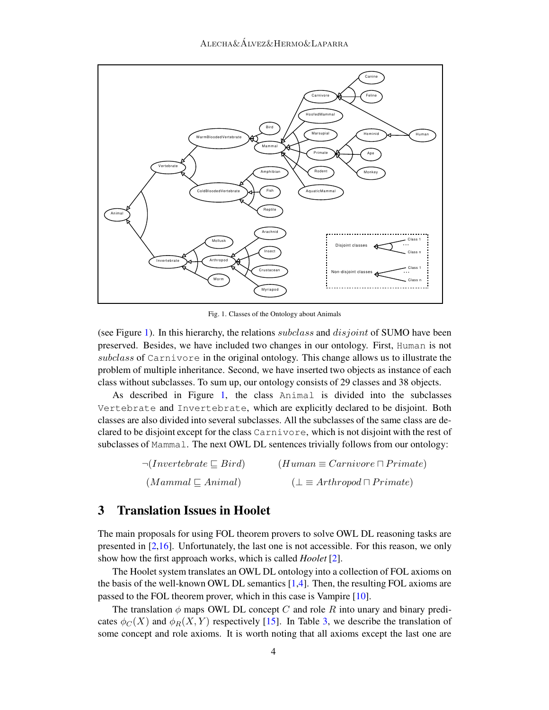

<span id="page-3-1"></span>Fig. 1. Classes of the Ontology about Animals

(see Figure [1\)](#page-3-1). In this hierarchy, the relations *subclass* and  $disjoint$  of SUMO have been preserved. Besides, we have included two changes in our ontology. First, Human is not subclass of Carnivore in the original ontology. This change allows us to illustrate the problem of multiple inheritance. Second, we have inserted two objects as instance of each class without subclasses. To sum up, our ontology consists of 29 classes and 38 objects.

As described in Figure [1,](#page-3-1) the class Animal is divided into the subclasses Vertebrate and Invertebrate, which are explicitly declared to be disjoint. Both classes are also divided into several subclasses. All the subclasses of the same class are declared to be disjoint except for the class Carnivore, which is not disjoint with the rest of subclasses of Mammal. The next OWL DL sentences trivially follows from our ontology:

| $\neg (Invertebrate \sqsubseteq Bird)$ | $(Human \equiv Carnivore \sqcap Primate)$ |
|----------------------------------------|-------------------------------------------|
| $(Mammal \sqsubseteq Animal)$          | $(\perp \equiv Arthropod \sqcap Prime)$   |

### <span id="page-3-0"></span>3 Translation Issues in Hoolet

The main proposals for using FOL theorem provers to solve OWL DL reasoning tasks are presented in [\[2](#page-9-6)[,16\]](#page-9-8). Unfortunately, the last one is not accessible. For this reason, we only show how the first approach works, which is called *Hoolet* [\[2\]](#page-9-6).

The Hoolet system translates an OWL DL ontology into a collection of FOL axioms on the basis of the well-known OWL DL semantics [\[1](#page-9-1)[,4\]](#page-9-14). Then, the resulting FOL axioms are passed to the FOL theorem prover, which in this case is Vampire [\[10\]](#page-9-9).

The translation  $\phi$  maps OWL DL concept C and role R into unary and binary predicates  $\phi_C(X)$  and  $\phi_R(X, Y)$  respectively [\[15\]](#page-9-7). In Table [3,](#page-4-0) we describe the translation of some concept and role axioms. It is worth noting that all axioms except the last one are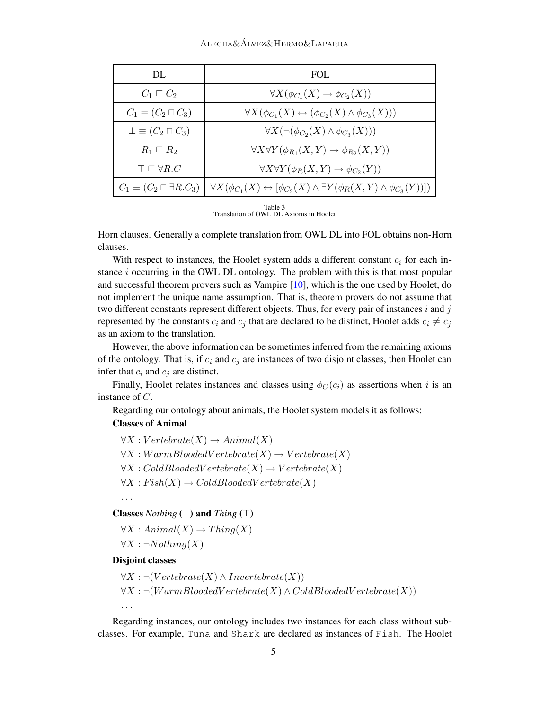#### $ALECHA\&\acute{A}IVEZ\&HERMOLIAPARRA$

| DL                                      | FOL.                                                                                                          |
|-----------------------------------------|---------------------------------------------------------------------------------------------------------------|
| $C_1 \sqsubseteq C_2$                   | $\forall X(\phi_{C_1}(X) \to \phi_{C_2}(X))$                                                                  |
| $C_1 \equiv (C_2 \sqcap C_3)$           | $\forall X(\phi_{C_1}(X) \leftrightarrow (\phi_{C_2}(X) \wedge \phi_{C_3}(X)))$                               |
| $\perp \equiv (C_2 \sqcap C_3)$         | $\forall X (\neg(\phi_{C_2}(X) \wedge \phi_{C_3}(X)))$                                                        |
| $R_1 \sqsubseteq R_2$                   | $\forall X \forall Y (\phi_{R_1}(X, Y) \rightarrow \phi_{R_2}(X, Y))$                                         |
| $\top \sqsubseteq \forall R.C$          | $\forall X \forall Y (\phi_R(X, Y) \rightarrow \phi_{C_2}(Y))$                                                |
| $C_1 \equiv (C_2 \sqcap \exists R.C_3)$ | $\forall X(\phi_{C_1}(X) \leftrightarrow [\phi_{C_2}(X) \wedge \exists Y(\phi_R(X,Y) \wedge \phi_{C_3}(Y))])$ |

Table 3<br>Translation of OWL DL Axioms in Hoolet

<span id="page-4-0"></span>Horn clauses. Generally a complete translation from OWL DL into FOL obtains non-Horn clauses.

With respect to instances, the Hoolet system adds a different constant  $c_i$  for each instance  $i$  occurring in the OWL DL ontology. The problem with this is that most popular and successful theorem provers such as Vampire [\[10\]](#page-9-9), which is the one used by Hoolet, do not implement the unique name assumption. That is, theorem provers do not assume that two different constants represent different objects. Thus, for every pair of instances  $i$  and  $j$ represented by the constants  $c_i$  and  $c_j$  that are declared to be distinct, Hoolet adds  $c_i \neq c_j$ as an axiom to the translation.

However, the above information can be sometimes inferred from the remaining axioms of the ontology. That is, if  $c_i$  and  $c_j$  are instances of two disjoint classes, then Hoolet can infer that  $c_i$  and  $c_j$  are distinct.

Finally, Hoolet relates instances and classes using  $\phi_C(c_i)$  as assertions when i is an instance of C.

Regarding our ontology about animals, the Hoolet system models it as follows:

#### Classes of Animal

 $\forall X: Vertebrate(X) \rightarrow Animal(X)$  $\forall X: WarmBloodedVert (X) \rightarrow Vertebrate(X)$  $\forall X : Cold BloodedVert (X) \rightarrow Vertebrate(X)$  $\forall X : Fish(X) \rightarrow ColdBloodedVertletbrate(X)$ 

. . .

. . .

Classes Nothing  $(\perp)$  and Thing  $(\top)$ 

 $\forall X : Animal(X) \rightarrow Things(X)$ 

 $\forall X : \neg Nothing(X)$ 

#### Disjoint classes

 $\forall X : \neg (Vertcheck(X) \wedge Invertebrate(X))$  $\forall X : \neg(WarmBloodedVert (X) \wedge ColdBloodedVert (X))$ 

Regarding instances, our ontology includes two instances for each class without subclasses. For example, Tuna and Shark are declared as instances of Fish. The Hoolet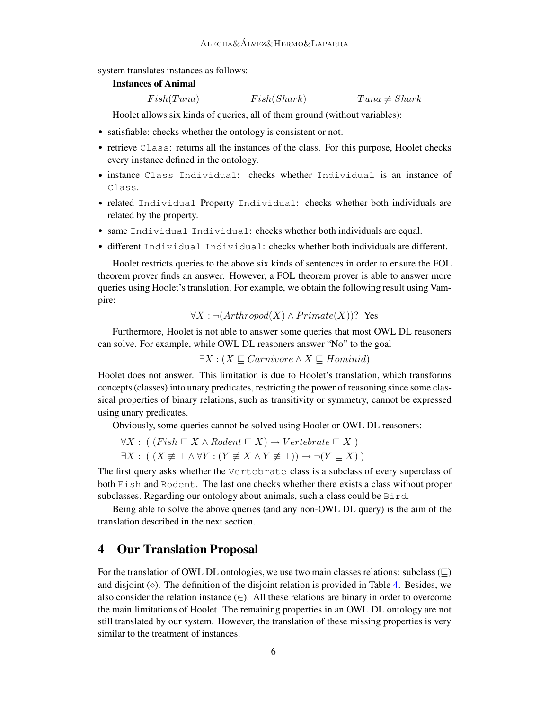system translates instances as follows:

#### Instances of Animal

$$
Fish(Tuna) \tFish(Shark) \tTuna \neq Shark
$$

Hoolet allows six kinds of queries, all of them ground (without variables):

- satisfiable: checks whether the ontology is consistent or not.
- retrieve Class: returns all the instances of the class. For this purpose, Hoolet checks every instance defined in the ontology.
- instance Class Individual: checks whether Individual is an instance of Class.
- related Individual Property Individual: checks whether both individuals are related by the property.
- same Individual Individual: checks whether both individuals are equal.
- different Individual Individual: checks whether both individuals are different.

Hoolet restricts queries to the above six kinds of sentences in order to ensure the FOL theorem prover finds an answer. However, a FOL theorem prover is able to answer more queries using Hoolet's translation. For example, we obtain the following result using Vampire:

$$
\forall X : \neg (Arthropod(X) \land Prime(X))?
$$
 Yes

Furthermore, Hoolet is not able to answer some queries that most OWL DL reasoners can solve. For example, while OWL DL reasoners answer "No" to the goal

 $\exists X : (X \sqsubseteq Carnivore \land X \sqsubseteq Homini])$ 

Hoolet does not answer. This limitation is due to Hoolet's translation, which transforms concepts (classes) into unary predicates, restricting the power of reasoning since some classical properties of binary relations, such as transitivity or symmetry, cannot be expressed using unary predicates.

Obviously, some queries cannot be solved using Hoolet or OWL DL reasoners:

- $\forall X : ((Fish \sqsubset X \wedge Rodent \sqsubset X) \rightarrow Vertebrate \sqsubset X)$
- $\exists X : ((X \not\equiv \bot \wedge \forall Y : (Y \not\equiv X \wedge Y \not\equiv \bot)) \rightarrow \neg(Y \sqsubset X))$

The first query asks whether the Vertebrate class is a subclass of every superclass of both Fish and Rodent. The last one checks whether there exists a class without proper subclasses. Regarding our ontology about animals, such a class could be Bird.

Being able to solve the above queries (and any non-OWL DL query) is the aim of the translation described in the next section.

### <span id="page-5-0"></span>4 Our Translation Proposal

For the translation of OWL DL ontologies, we use two main classes relations: subclass  $(\sqsubseteq)$ and disjoint  $(\diamond)$ . The definition of the disjoint relation is provided in Table [4.](#page-6-0) Besides, we also consider the relation instance  $(\in)$ . All these relations are binary in order to overcome the main limitations of Hoolet. The remaining properties in an OWL DL ontology are not still translated by our system. However, the translation of these missing properties is very similar to the treatment of instances.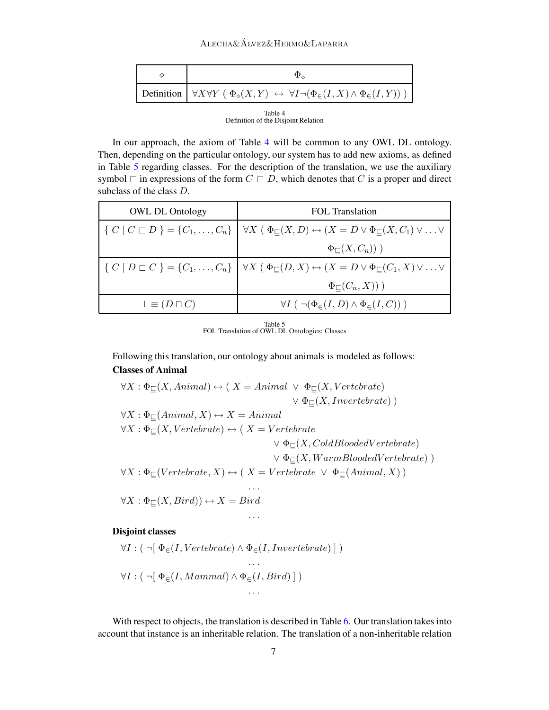#### Alecha&Alvez&Hermo&Laparra ´

|  | Definition $\forall X \forall Y \ (\Phi_{\diamond}(X, Y) \leftrightarrow \forall I \neg (\Phi_{\in}(I, X) \land \Phi_{\in}(I, Y)))$ |  |  |
|--|-------------------------------------------------------------------------------------------------------------------------------------|--|--|
|  |                                                                                                                                     |  |  |

<span id="page-6-0"></span>Table 4 Definition of the Disjoint Relation

In our approach, the axiom of Table [4](#page-6-0) will be common to any OWL DL ontology. Then, depending on the particular ontology, our system has to add new axioms, as defined in Table [5](#page-6-1) regarding classes. For the description of the translation, we use the auxiliary symbol  $\sqsubset$  in expressions of the form  $C \sqsubset D$ , which denotes that C is a proper and direct subclass of the class D.

| <b>OWL DL Ontology</b>      | FOL Translation                                                                                                                                                       |  |
|-----------------------------|-----------------------------------------------------------------------------------------------------------------------------------------------------------------------|--|
|                             | $\{C \mid C \sqsubset D\} = \{C_1, \ldots, C_n\} \mid \forall X \in \Phi_{\sqsubseteq}(X, D) \leftrightarrow (X = D \vee \Phi_{\sqsubseteq}(X, C_1) \vee \ldots \vee$ |  |
|                             | $\Phi_{\square}(X,C_n))$ )                                                                                                                                            |  |
|                             | $\{C \mid D \sqsubset C\} = \{C_1, \ldots, C_n\} \mid \forall X \in \Phi_{\sqsubset}(D, X) \leftrightarrow (X = D \vee \Phi_{\sqsubset}(C_1, X) \vee \ldots \vee$     |  |
|                             | $\Phi_{\square}(C_n,X))$ )                                                                                                                                            |  |
| $\perp \equiv (D \sqcap C)$ | $\forall I \ (\neg (\Phi_{\in}(I, D) \wedge \Phi_{\in}(I, C)))$                                                                                                       |  |

Table 5 FOL Translation of OWL DL Ontologies: Classes

<span id="page-6-1"></span>Following this translation, our ontology about animals is modeled as follows: Classes of Animal

 $\forall X : \Phi\subset (X, Animal) \leftrightarrow (X = Animal \lor \Phi\subset (X, Vertebrate)$  $\vee \Phi_{\sqsubset}(X, Invertebrate)$  $\forall X : \Phi \in (Animal, X) \leftrightarrow X = Animal$  $\forall X : \Phi\subset (X, Vertebrate) \leftrightarrow (X = Vertebrate)$  $\vee \Phi_{\square}(X, ColdBloodedVert)$  $\vee \Phi\subset (X, WarmBloodedVert)$  $\forall X : \Phi_{\sqsubseteq}(Vert) \leftrightarrow (X = Vertebrate \vee \Phi_{\sqsubseteq}(Animal, X))$ . . .  $\forall X : \Phi_{\square}(X, Bird) \rightarrow X = Bird$ . . .

#### Disjoint classes

$$
\forall I : (\neg [\ \Phi_{\in}(I, Vertebrate) \land \Phi_{\in}(I, Invertebrate) ] \ ) \ \cdots \\ \forall I : (\neg [\ \Phi_{\in}(I, Mammal) \land \Phi_{\in}(I, Bird) ] \ )
$$

With respect to objects, the translation is described in Table [6.](#page-7-1) Our translation takes into account that instance is an inheritable relation. The translation of a non-inheritable relation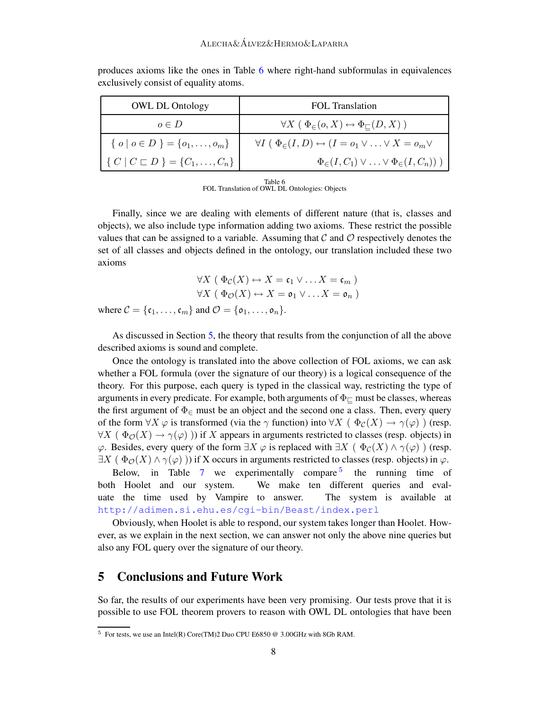| <b>OWL DL Ontology</b>                             | FOL Translation                                                                         |
|----------------------------------------------------|-----------------------------------------------------------------------------------------|
| $o \in D$                                          | $\forall X \in \Phi_{\infty}(o, X) \leftrightarrow \Phi_{\square}(D, X)$                |
| $\{ o \mid o \in D \} = \{o_1, \ldots, o_m\}$      | $\forall I \in \Phi_{\in}(I, D) \leftrightarrow (I = o_1 \vee \ldots \vee X = o_m \vee$ |
| $\{ C   C \sqsubset D \} = \{ C_1, \ldots, C_n \}$ | $\Phi_{\in}(I, C_1) \vee \ldots \vee \Phi_{\in}(I, C_n))$ )                             |

produces axioms like the ones in Table [6](#page-7-1) where right-hand subformulas in equivalences exclusively consist of equality atoms.

Table 6 FOL Translation of OWL DL Ontologies: Objects

<span id="page-7-1"></span>Finally, since we are dealing with elements of different nature (that is, classes and objects), we also include type information adding two axioms. These restrict the possible values that can be assigned to a variable. Assuming that  $\mathcal C$  and  $\mathcal O$  respectively denotes the set of all classes and objects defined in the ontology, our translation included these two axioms

$$
\forall X \ (\Phi_{\mathcal{C}}(X) \leftrightarrow X = \mathfrak{c}_1 \lor \dots X = \mathfrak{c}_m)
$$

$$
\forall X \ (\Phi_{\mathcal{O}}(X) \leftrightarrow X = \mathfrak{o}_1 \lor \dots X = \mathfrak{o}_n)
$$
  
where  $\mathcal{C} = \{\mathfrak{c}_1, \dots, \mathfrak{c}_m\}$  and  $\mathcal{O} = \{\mathfrak{o}_1, \dots, \mathfrak{o}_n\}.$ 

As discussed in Section [5,](#page-7-0) the theory that results from the conjunction of all the above described axioms is sound and complete.

Once the ontology is translated into the above collection of FOL axioms, we can ask whether a FOL formula (over the signature of our theory) is a logical consequence of the theory. For this purpose, each query is typed in the classical way, restricting the type of arguments in every predicate. For example, both arguments of  $\Phi_{\square}$  must be classes, whereas the first argument of  $\Phi_{\epsilon}$  must be an object and the second one a class. Then, every query of the form  $\forall X \varphi$  is transformed (via the  $\gamma$  function) into  $\forall X (\Phi_{\mathcal{C}}(X) \to \gamma(\varphi))$  (resp.  $\forall X \in \Phi_{\mathcal{O}}(X) \to \gamma(\varphi)$ ) if X appears in arguments restricted to classes (resp. objects) in  $\varphi$ . Besides, every query of the form  $\exists X \varphi$  is replaced with  $\exists X \in \Phi_c(X) \land \gamma(\varphi)$  (resp.  $\exists X \mid \Phi_{\mathcal{O}}(X) \land \gamma(\varphi)$ ) if X occurs in arguments restricted to classes (resp. objects) in  $\varphi$ .

Below, in Table [7](#page-8-0) we experimentally compare  $5$ the running time of both Hoolet and our system. We make ten different queries and evaluate the time used by Vampire to answer. The system is available at <http://adimen.si.ehu.es/cgi-bin/Beast/index.perl>

Obviously, when Hoolet is able to respond, our system takes longer than Hoolet. However, as we explain in the next section, we can answer not only the above nine queries but also any FOL query over the signature of our theory.

### <span id="page-7-0"></span>5 Conclusions and Future Work

So far, the results of our experiments have been very promising. Our tests prove that it is possible to use FOL theorem provers to reason with OWL DL ontologies that have been

<span id="page-7-2"></span> $5$  For tests, we use an Intel(R) Core(TM)2 Duo CPU E6850 @ 3.00GHz with 8Gb RAM.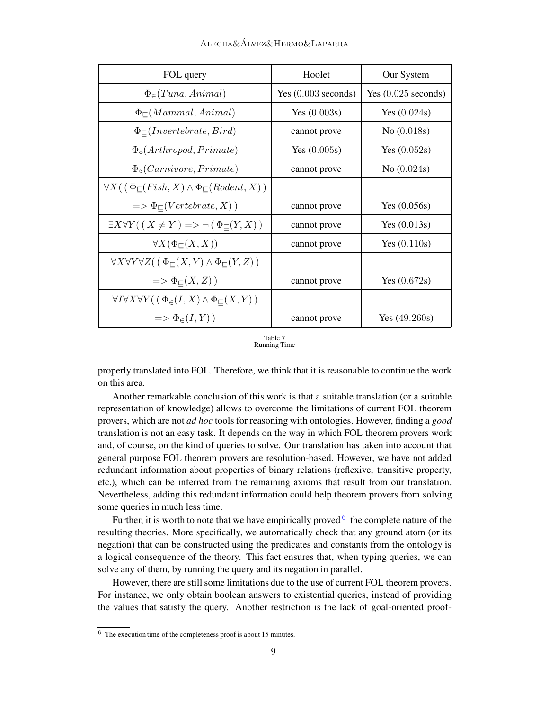| FOL query                                                                                 | Hoolet                | Our System            |
|-------------------------------------------------------------------------------------------|-----------------------|-----------------------|
| $\Phi_{\in}(Tuna, Animal)$                                                                | Yes $(0.003$ seconds) | Yes $(0.025$ seconds) |
| $\Phi_{\square}(Mammal, Animal)$                                                          | Yes $(0.003s)$        | Yes $(0.024s)$        |
| $\Phi_{\square}(Invertebrate, Bird)$                                                      | cannot prove          | No (0.018s)           |
| $\Phi_{\diamond}(Arthropod, Primate)$                                                     | Yes $(0.005s)$        | Yes $(0.052s)$        |
| $\Phi_{\diamond}$ ( <i>Carnivore</i> , <i>Primate</i> )                                   | cannot prove          | No $(0.024s)$         |
| $\forall X((\Phi_{\square}(Fish, X) \wedge \Phi_{\square}(Rodent, X))$                    |                       |                       |
| $\Rightarrow \Phi_{\sqsubset}(Vertence, X)$                                               | cannot prove          | Yes $(0.056s)$        |
| $\exists X \forall Y (\mid X \neq Y) \Longrightarrow \neg (\Phi_{\sqsubset}(Y, X))$       | cannot prove          | Yes $(0.013s)$        |
| $\forall X(\Phi_{\square}(X,X))$                                                          | cannot prove          | Yes $(0.110s)$        |
| $\forall X \forall Y \forall Z (\mid \Phi_{\square}(X, Y) \land \Phi_{\square}(Y, Z))$    |                       |                       |
| $\Rightarrow \Phi_{\sqsubset}(X,Z)$ )                                                     | cannot prove          | Yes $(0.672s)$        |
| $\forall I \forall X \forall Y (\, (\, \Phi_{\in}(I, X) \land \Phi_{\subseteq}(X, Y) \,)$ |                       |                       |
| $\Rightarrow \Phi_{\in}(I, Y)$                                                            | cannot prove          | Yes $(49.260s)$       |

<span id="page-8-0"></span>Table 7 Running Time

properly translated into FOL. Therefore, we think that it is reasonable to continue the work on this area.

Another remarkable conclusion of this work is that a suitable translation (or a suitable representation of knowledge) allows to overcome the limitations of current FOL theorem provers, which are not *ad hoc* tools for reasoning with ontologies. However, finding a good translation is not an easy task. It depends on the way in which FOL theorem provers work and, of course, on the kind of queries to solve. Our translation has taken into account that general purpose FOL theorem provers are resolution-based. However, we have not added redundant information about properties of binary relations (reflexive, transitive property, etc.), which can be inferred from the remaining axioms that result from our translation. Nevertheless, adding this redundant information could help theorem provers from solving some queries in much less time.

Further, it is worth to note that we have empirically proved  $6$  the complete nature of the resulting theories. More specifically, we automatically check that any ground atom (or its negation) that can be constructed using the predicates and constants from the ontology is a logical consequence of the theory. This fact ensures that, when typing queries, we can solve any of them, by running the query and its negation in parallel.

However, there are still some limitations due to the use of current FOL theorem provers. For instance, we only obtain boolean answers to existential queries, instead of providing the values that satisfy the query. Another restriction is the lack of goal-oriented proof-

<span id="page-8-1"></span> $6$  The execution time of the completeness proof is about 15 minutes.